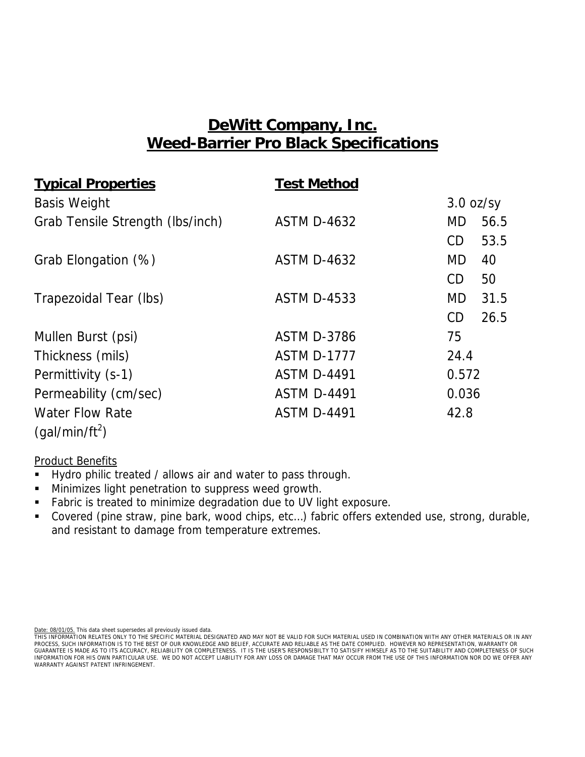## **DeWitt Company, Inc. Weed-Barrier Pro Black Specifications**

| <b>Typical Properties</b>        | <b>Test Method</b> |                   |  |
|----------------------------------|--------------------|-------------------|--|
| <b>Basis Weight</b>              |                    | $3.0$ oz/sy       |  |
| Grab Tensile Strength (Ibs/inch) | <b>ASTM D-4632</b> | MD.<br>56.5       |  |
|                                  |                    | 53.5<br>CD        |  |
| Grab Elongation (%)              | <b>ASTM D-4632</b> | <b>MD</b><br>40   |  |
|                                  |                    | CD<br>50          |  |
| Trapezoidal Tear (lbs)           | <b>ASTM D-4533</b> | <b>MD</b><br>31.5 |  |
|                                  |                    | CD<br>26.5        |  |
| Mullen Burst (psi)               | <b>ASTM D-3786</b> | 75                |  |
| Thickness (mils)                 | <b>ASTM D-1777</b> | 24.4              |  |
| Permittivity (s-1)               | <b>ASTM D-4491</b> | 0.572             |  |
| Permeability (cm/sec)            | <b>ASTM D-4491</b> | 0.036             |  |
| <b>Water Flow Rate</b>           | <b>ASTM D-4491</b> | 42.8              |  |
| (gal/min/ft <sup>2</sup> )       |                    |                   |  |

### Product Benefits

- Hydro philic treated / allows air and water to pass through.
- **Minimizes light penetration to suppress weed growth.**
- **Fabric is treated to minimize degradation due to UV light exposure.**
- Covered (pine straw, pine bark, wood chips, etc...) fabric offers extended use, strong, durable, and resistant to damage from temperature extremes.

Date: 08/01/05. This data sheet supersedes all previously issued data.

THIS INFORMATION RELATES ONLY TO THE SPECIFIC MATERIAL DESIGNATED AND MAY NOT BE VALID FOR SUCH MATERIAL USED IN COMBINATION WITH ANY OTHER MATERIALS OR IN ANY<br>PROCESS, SUCH INFORMATION IS TO THE BEST OF OUR KNOWLEDGE AND GUARANTEE IS MADE AS TO ITS ACCURACY, RELIABILITY OR COMPLETENESS. IT IS THE USER'S RESPONSIBILTY TO SATISIFY HIMSELF AS TO THE SUITABILITY AND COMPLETENESS OF SUCH INFORMATION FOR HIS OWN PARTICULAR USE. WE DO NOT ACCEPT LIABILITY FOR ANY LOSS OR DAMAGE THAT MAY OCCUR FROM THE USE OF THIS INFORMATION NOR DO WE OFFER ANY<br>WARRANTY AGAINST PATENT INFRINGEMENT.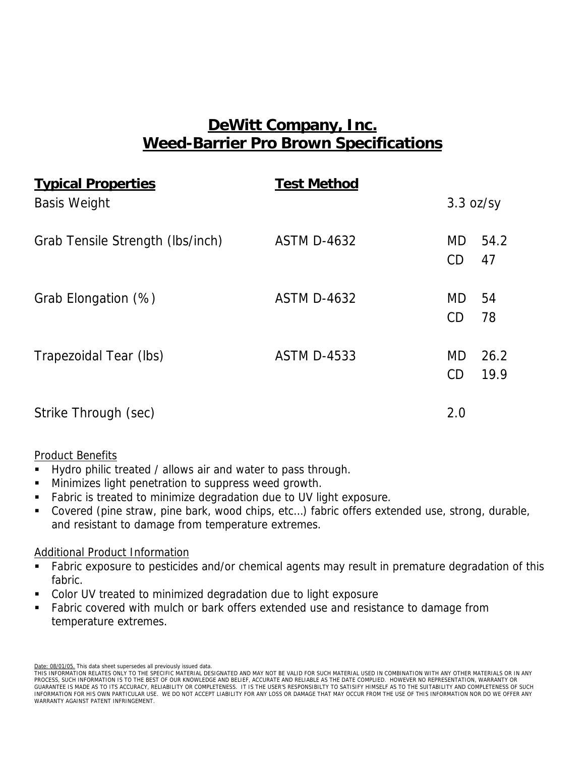# **DeWitt Company, Inc. Weed-Barrier Pro Brown Specifications**

| <b>Typical Properties</b>        | <b>Test Method</b> |                 |              |
|----------------------------------|--------------------|-----------------|--------------|
| <b>Basis Weight</b>              |                    |                 | 3.3 oz/sy    |
| Grab Tensile Strength (Ibs/inch) | <b>ASTM D-4632</b> | <b>MD</b><br>CD | 54.2<br>47   |
| Grab Elongation (%)              | <b>ASTM D-4632</b> | MD<br>CD        | 54<br>78     |
| Trapezoidal Tear (lbs)           | <b>ASTM D-4533</b> | MD<br>CD        | 26.2<br>19.9 |
| Strike Through (sec)             |                    | 2.0             |              |

### Product Benefits

- Hydro philic treated / allows air and water to pass through.
- Minimizes light penetration to suppress weed growth.
- Fabric is treated to minimize degradation due to UV light exposure.
- Covered (pine straw, pine bark, wood chips, etc...) fabric offers extended use, strong, durable, and resistant to damage from temperature extremes.

### Additional Product Information

- Fabric exposure to pesticides and/or chemical agents may result in premature degradation of this fabric.
- Color UV treated to minimized degradation due to light exposure
- Fabric covered with mulch or bark offers extended use and resistance to damage from temperature extremes.

Date: 08/01/05. This data sheet supersedes all previously issued data.

THIS INFORMATION RELATES ONLY TO THE SPECIFIC MATERIAL DESIGNATED AND MAY NOT BE VALID FOR SUCH MATERIAL USED IN COMBINATION WITH ANY OTHER MATERIALS OR IN ANY PROCESS, SUCH INFORMATION IS TO THE BEST OF OUR KNOWLEDGE AND BELIEF, ACCURATE AND RELIABLE AS THE DATE COMPLIED. HOWEVER NO REPRESENTATION, WARRANTY OR<br>GUARANTEE IS MADE AS TO ITS ACCURACY, RELIABILITY OR COMPLETENESS. IT INFORMATION FOR HIS OWN PARTICULAR USE. WE DO NOT ACCEPT LIABILITY FOR ANY LOSS OR DAMAGE THAT MAY OCCUR FROM THE USE OF THIS INFORMATION NOR DO WE OFFER ANY WARRANTY AGAINST PATENT INFRINGEMENT.